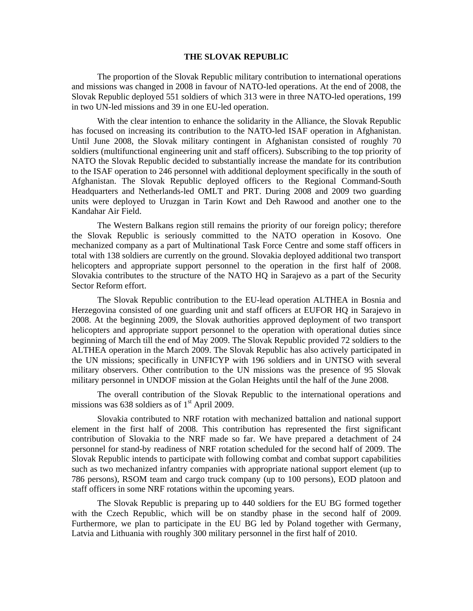## **THE SLOVAK REPUBLIC**

The proportion of the Slovak Republic military contribution to international operations and missions was changed in 2008 in favour of NATO-led operations. At the end of 2008, the Slovak Republic deployed 551 soldiers of which 313 were in three NATO-led operations, 199 in two UN-led missions and 39 in one EU-led operation.

With the clear intention to enhance the solidarity in the Alliance, the Slovak Republic has focused on increasing its contribution to the NATO-led ISAF operation in Afghanistan. Until June 2008, the Slovak military contingent in Afghanistan consisted of roughly 70 soldiers (multifunctional engineering unit and staff officers). Subscribing to the top priority of NATO the Slovak Republic decided to substantially increase the mandate for its contribution to the ISAF operation to 246 personnel with additional deployment specifically in the south of Afghanistan. The Slovak Republic deployed officers to the Regional Command-South Headquarters and Netherlands-led OMLT and PRT. During 2008 and 2009 two guarding units were deployed to Uruzgan in Tarin Kowt and Deh Rawood and another one to the Kandahar Air Field.

The Western Balkans region still remains the priority of our foreign policy; therefore the Slovak Republic is seriously committed to the NATO operation in Kosovo. One mechanized company as a part of Multinational Task Force Centre and some staff officers in total with 138 soldiers are currently on the ground. Slovakia deployed additional two transport helicopters and appropriate support personnel to the operation in the first half of 2008. Slovakia contributes to the structure of the NATO HQ in Sarajevo as a part of the Security Sector Reform effort.

The Slovak Republic contribution to the EU-lead operation ALTHEA in Bosnia and Herzegovina consisted of one guarding unit and staff officers at EUFOR HQ in Sarajevo in 2008. At the beginning 2009, the Slovak authorities approved deployment of two transport helicopters and appropriate support personnel to the operation with operational duties since beginning of March till the end of May 2009. The Slovak Republic provided 72 soldiers to the ALTHEA operation in the March 2009. The Slovak Republic has also actively participated in the UN missions; specifically in UNFICYP with 196 soldiers and in UNTSO with several military observers. Other contribution to the UN missions was the presence of 95 Slovak military personnel in UNDOF mission at the Golan Heights until the half of the June 2008.

The overall contribution of the Slovak Republic to the international operations and missions was  $638$  soldiers as of  $1<sup>st</sup>$  April 2009.

Slovakia contributed to NRF rotation with mechanized battalion and national support element in the first half of 2008. This contribution has represented the first significant contribution of Slovakia to the NRF made so far. We have prepared a detachment of 24 personnel for stand-by readiness of NRF rotation scheduled for the second half of 2009. The Slovak Republic intends to participate with following combat and combat support capabilities such as two mechanized infantry companies with appropriate national support element (up to 786 persons), RSOM team and cargo truck company (up to 100 persons), EOD platoon and staff officers in some NRF rotations within the upcoming years.

The Slovak Republic is preparing up to 440 soldiers for the EU BG formed together with the Czech Republic, which will be on standby phase in the second half of 2009. Furthermore, we plan to participate in the EU BG led by Poland together with Germany, Latvia and Lithuania with roughly 300 military personnel in the first half of 2010.